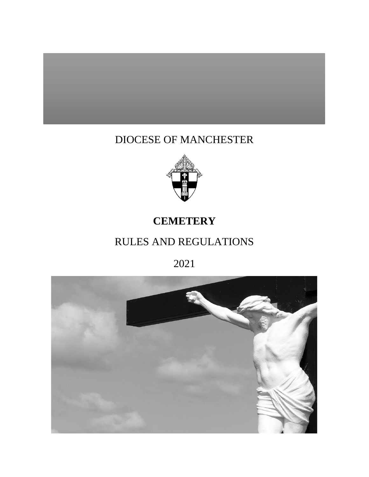# DIOCESE OF MANCHESTER



# **CEMETERY**

# RULES AND REGULATIONS

2021

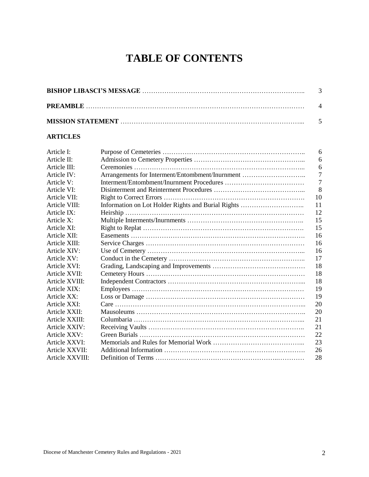# **TABLE OF CONTENTS**

# **ARTICLES**

| Article I:      |                                                    | 6  |
|-----------------|----------------------------------------------------|----|
| Article II:     |                                                    | 6  |
| Article III:    |                                                    | 6  |
| Article IV:     | Arrangements for Interment/Entombment/Inurnment    | 7  |
| Article V:      |                                                    | 7  |
| Article VI:     |                                                    | 8  |
| Article VII:    |                                                    | 10 |
| Article VIII:   | Information on Lot Holder Rights and Burial Rights | 11 |
| Article IX:     | Heirship.                                          | 12 |
| Article X:      |                                                    | 15 |
| Article XI:     |                                                    | 15 |
| Article XII:    |                                                    | 16 |
| Article XIII:   |                                                    | 16 |
| Article XIV:    |                                                    | 16 |
| Article XV:     |                                                    | 17 |
| Article XVI:    |                                                    | 18 |
| Article XVII:   |                                                    | 18 |
| Article XVIII:  |                                                    | 18 |
| Article XIX:    |                                                    | 19 |
| Article XX:     |                                                    | 19 |
| Article XXI:    |                                                    | 20 |
| Article XXII:   |                                                    | 20 |
| Article XXIII:  |                                                    | 21 |
| Article XXIV:   |                                                    | 21 |
| Article XXV:    |                                                    | 22 |
| Article XXVI:   |                                                    | 23 |
| Article XXVII:  |                                                    | 26 |
| Article XXVIII: |                                                    | 28 |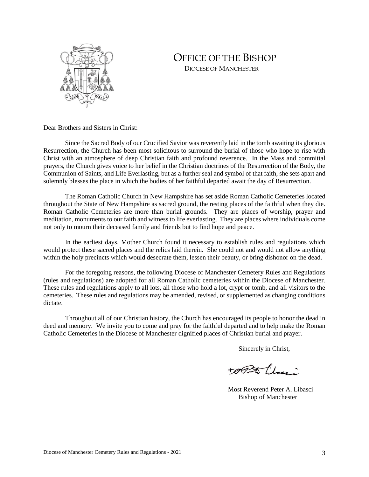

# OFFICE OF THE BISHOP DIOCESE OF MANCHESTER

Dear Brothers and Sisters in Christ:

Since the Sacred Body of our Crucified Savior was reverently laid in the tomb awaiting its glorious Resurrection, the Church has been most solicitous to surround the burial of those who hope to rise with Christ with an atmosphere of deep Christian faith and profound reverence. In the Mass and committal prayers, the Church gives voice to her belief in the Christian doctrines of the Resurrection of the Body, the Communion of Saints, and Life Everlasting, but as a further seal and symbol of that faith, she sets apart and solemnly blesses the place in which the bodies of her faithful departed await the day of Resurrection.

The Roman Catholic Church in New Hampshire has set aside Roman Catholic Cemeteries located throughout the State of New Hampshire as sacred ground, the resting places of the faithful when they die. Roman Catholic Cemeteries are more than burial grounds. They are places of worship, prayer and meditation, monuments to our faith and witness to life everlasting. They are places where individuals come not only to mourn their deceased family and friends but to find hope and peace.

In the earliest days, Mother Church found it necessary to establish rules and regulations which would protect these sacred places and the relics laid therein. She could not and would not allow anything within the holy precincts which would desecrate them, lessen their beauty, or bring dishonor on the dead.

For the foregoing reasons, the following Diocese of Manchester Cemetery Rules and Regulations (rules and regulations) are adopted for all Roman Catholic cemeteries within the Diocese of Manchester. These rules and regulations apply to all lots, all those who hold a lot, crypt or tomb, and all visitors to the cemeteries. These rules and regulations may be amended, revised, or supplemented as changing conditions dictate.

Throughout all of our Christian history, the Church has encouraged its people to honor the dead in deed and memory. We invite you to come and pray for the faithful departed and to help make the Roman Catholic Cemeteries in the Diocese of Manchester dignified places of Christian burial and prayer.

Sincerely in Christ,

topstile.

 Most Reverend Peter A. Libasci Bishop of Manchester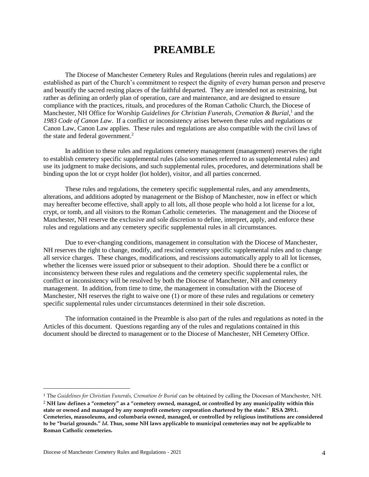# **PREAMBLE**

The Diocese of Manchester Cemetery Rules and Regulations (herein rules and regulations) are established as part of the Church's commitment to respect the dignity of every human person and preserve and beautify the sacred resting places of the faithful departed. They are intended not as restraining, but rather as defining an orderly plan of operation, care and maintenance, and are designed to ensure compliance with the practices, rituals, and procedures of the Roman Catholic Church, the Diocese of Manchester, NH Office for Worship *Guidelines for Christian Funerals, Cremation & Burial*,<sup>1</sup> and the *1983 Code of Canon Law*. If a conflict or inconsistency arises between these rules and regulations or Canon Law, Canon Law applies. These rules and regulations are also compatible with the civil laws of the state and federal government.<sup>2</sup>

In addition to these rules and regulations cemetery management (management) reserves the right to establish cemetery specific supplemental rules (also sometimes referred to as supplemental rules) and use its judgment to make decisions, and such supplemental rules, procedures, and determinations shall be binding upon the lot or crypt holder (lot holder), visitor, and all parties concerned.

These rules and regulations, the cemetery specific supplemental rules, and any amendments, alterations, and additions adopted by management or the Bishop of Manchester, now in effect or which may hereafter become effective, shall apply to all lots, all those people who hold a lot license for a lot, crypt, or tomb, and all visitors to the Roman Catholic cemeteries. The management and the Diocese of Manchester, NH reserve the exclusive and sole discretion to define, interpret, apply, and enforce these rules and regulations and any cemetery specific supplemental rules in all circumstances.

Due to ever-changing conditions, management in consultation with the Diocese of Manchester, NH reserves the right to change, modify, and rescind cemetery specific supplemental rules and to change all service charges. These changes, modifications, and rescissions automatically apply to all lot licenses, whether the licenses were issued prior or subsequent to their adoption. Should there be a conflict or inconsistency between these rules and regulations and the cemetery specific supplemental rules, the conflict or inconsistency will be resolved by both the Diocese of Manchester, NH and cemetery management. In addition, from time to time, the management in consultation with the Diocese of Manchester, NH reserves the right to waive one (1) or more of these rules and regulations or cemetery specific supplemental rules under circumstances determined in their sole discretion.

The information contained in the Preamble is also part of the rules and regulations as noted in the Articles of this document. Questions regarding any of the rules and regulations contained in this document should be directed to management or to the Diocese of Manchester, NH Cemetery Office.

 $\ddot{\phantom{a}}$ 

<sup>1</sup> The *Guidelines for Christian Funerals, Cremation & Burial* can be obtained by calling the Diocesan of Manchester, NH. <sup>2</sup> **NH law defines a "cemetery" as a "cemetery owned, managed, or controlled by any municipality within this state or owned and managed by any nonprofit cemetery corporation chartered by the state." RSA 289:1. Cemeteries, mausoleums, and columbaria owned, managed, or controlled by religious institutions are considered to be "burial grounds."** *Id***. Thus, some NH laws applicable to municipal cemeteries may not be applicable to Roman Catholic cemeteries.**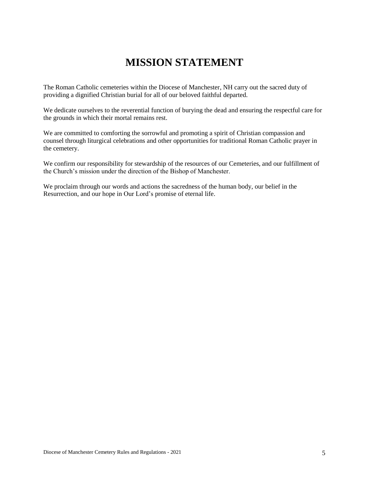# **MISSION STATEMENT**

The Roman Catholic cemeteries within the Diocese of Manchester, NH carry out the sacred duty of providing a dignified Christian burial for all of our beloved faithful departed.

We dedicate ourselves to the reverential function of burying the dead and ensuring the respectful care for the grounds in which their mortal remains rest.

We are committed to comforting the sorrowful and promoting a spirit of Christian compassion and counsel through liturgical celebrations and other opportunities for traditional Roman Catholic prayer in the cemetery.

We confirm our responsibility for stewardship of the resources of our Cemeteries, and our fulfillment of the Church's mission under the direction of the Bishop of Manchester.

We proclaim through our words and actions the sacredness of the human body, our belief in the Resurrection, and our hope in Our Lord's promise of eternal life.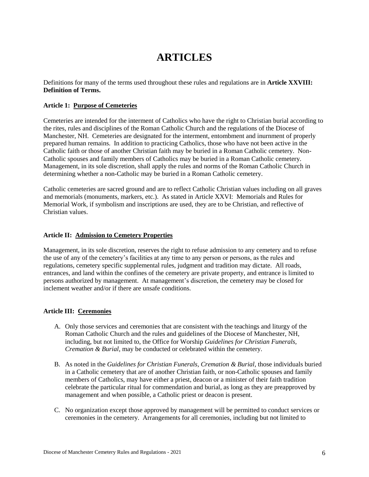# **ARTICLES**

Definitions for many of the terms used throughout these rules and regulations are in **Article XXVIII: Definition of Terms.**

# **Article 1: Purpose of Cemeteries**

Cemeteries are intended for the interment of Catholics who have the right to Christian burial according to the rites, rules and disciplines of the Roman Catholic Church and the regulations of the Diocese of Manchester, NH. Cemeteries are designated for the interment, entombment and inurnment of properly prepared human remains. In addition to practicing Catholics, those who have not been active in the Catholic faith or those of another Christian faith may be buried in a Roman Catholic cemetery. Non-Catholic spouses and family members of Catholics may be buried in a Roman Catholic cemetery. Management, in its sole discretion, shall apply the rules and norms of the Roman Catholic Church in determining whether a non-Catholic may be buried in a Roman Catholic cemetery.

Catholic cemeteries are sacred ground and are to reflect Catholic Christian values including on all graves and memorials (monuments, markers, etc.). As stated in Article XXVI: Memorials and Rules for Memorial Work, if symbolism and inscriptions are used, they are to be Christian, and reflective of Christian values.

# **Article II: Admission to Cemetery Properties**

Management, in its sole discretion, reserves the right to refuse admission to any cemetery and to refuse the use of any of the cemetery's facilities at any time to any person or persons, as the rules and regulations, cemetery specific supplemental rules, judgment and tradition may dictate. All roads, entrances, and land within the confines of the cemetery are private property, and entrance is limited to persons authorized by management. At management's discretion, the cemetery may be closed for inclement weather and/or if there are unsafe conditions.

# **Article III: Ceremonies**

- A. Only those services and ceremonies that are consistent with the teachings and liturgy of the Roman Catholic Church and the rules and guidelines of the Diocese of Manchester, NH, including, but not limited to, the Office for Worship *Guidelines for Christian Funerals, Cremation & Burial*, may be conducted or celebrated within the cemetery.
- B. As noted in the *Guidelines for Christian Funerals, Cremation & Burial,* those individuals buried in a Catholic cemetery that are of another Christian faith, or non-Catholic spouses and family members of Catholics, may have either a priest, deacon or a minister of their faith tradition celebrate the particular ritual for commendation and burial, as long as they are preapproved by management and when possible, a Catholic priest or deacon is present.
- C. No organization except those approved by management will be permitted to conduct services or ceremonies in the cemetery. Arrangements for all ceremonies, including but not limited to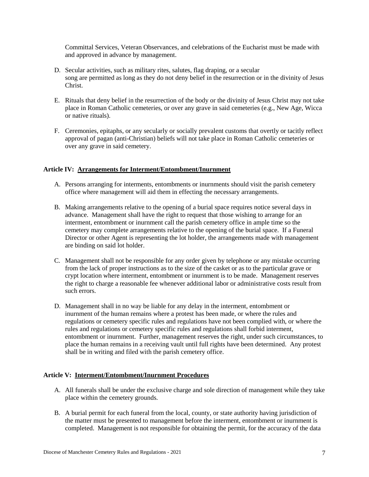Committal Services, Veteran Observances, and celebrations of the Eucharist must be made with and approved in advance by management.

- D. Secular activities, such as military rites, salutes, flag draping, or a secular song are permitted as long as they do not deny belief in the resurrection or in the divinity of Jesus Christ.
- E. Rituals that deny belief in the resurrection of the body or the divinity of Jesus Christ may not take place in Roman Catholic cemeteries, or over any grave in said cemeteries (e.g., New Age, Wicca or native rituals).
- F. Ceremonies, epitaphs, or any secularly or socially prevalent customs that overtly or tacitly reflect approval of pagan (anti-Christian) beliefs will not take place in Roman Catholic cemeteries or over any grave in said cemetery.

# **Article IV: Arrangements for Interment/Entombment/Inurnment**

- A. Persons arranging for interments, entombments or inurnments should visit the parish cemetery office where management will aid them in effecting the necessary arrangements.
- B. Making arrangements relative to the opening of a burial space requires notice several days in advance. Management shall have the right to request that those wishing to arrange for an interment, entombment or inurnment call the parish cemetery office in ample time so the cemetery may complete arrangements relative to the opening of the burial space. If a Funeral Director or other Agent is representing the lot holder, the arrangements made with management are binding on said lot holder.
- C. Management shall not be responsible for any order given by telephone or any mistake occurring from the lack of proper instructions as to the size of the casket or as to the particular grave or crypt location where interment, entombment or inurnment is to be made. Management reserves the right to charge a reasonable fee whenever additional labor or administrative costs result from such errors.
- D. Management shall in no way be liable for any delay in the interment, entombment or inurnment of the human remains where a protest has been made, or where the rules and regulations or cemetery specific rules and regulations have not been complied with, or where the rules and regulations or cemetery specific rules and regulations shall forbid interment, entombment or inurnment. Further, management reserves the right, under such circumstances, to place the human remains in a receiving vault until full rights have been determined. Any protest shall be in writing and filed with the parish cemetery office.

# **Article V: Interment/Entombment/Inurnment Procedures**

- A. All funerals shall be under the exclusive charge and sole direction of management while they take place within the cemetery grounds.
- B. A burial permit for each funeral from the local, county, or state authority having jurisdiction of the matter must be presented to management before the interment, entombment or inurnment is completed. Management is not responsible for obtaining the permit, for the accuracy of the data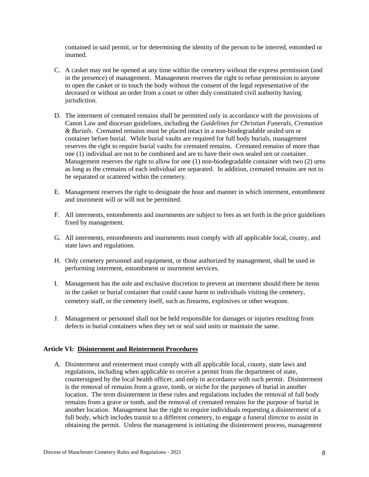contained in said permit, or for determining the identity of the person to be interred, entombed or inurned.

- C. A casket may not be opened at any time within the cemetery without the express permission (and in the presence) of management. Management reserves the right to refuse permission to anyone to open the casket or to touch the body without the consent of the legal representative of the deceased or without an order from a court or other duly constituted civil authority having jurisdiction.
- D. The interment of cremated remains shall be permitted only in accordance with the provisions of Canon Law and diocesan guidelines, including the *Guidelines for Christian Funerals, Cremation & Burials*. Cremated remains must be placed intact in a non-biodegradable sealed urn or container before burial. While burial vaults are required for full body burials, management reserves the right to require burial vaults for cremated remains. Cremated remains of more than one (1) individual are not to be combined and are to have their own sealed urn or container. Management reserves the right to allow for one (1) non-biodegradable container with two (2) urns as long as the cremains of each individual are separated. In addition, cremated remains are not to be separated or scattered within the cemetery.
- E. Management reserves the right to designate the hour and manner in which interment, entombment and inurnment will or will not be permitted.
- F. All interments, entombments and inurnments are subject to fees as set forth in the price guidelines fixed by management.
- G. All interments, entombments and inurnments must comply with all applicable local, county, and state laws and regulations.
- H. Only cemetery personnel and equipment, or those authorized by management, shall be used in performing interment, entombment or inurnment services.
- I. Management has the sole and exclusive discretion to prevent an interment should there be items in the casket or burial container that could cause harm to individuals visiting the cemetery, cemetery staff, or the cemetery itself, such as firearms, explosives or other weapons.
- J. Management or personnel shall not be held responsible for damages or injuries resulting from defects in burial containers when they set or seal said units or maintain the same.

# **Article VI: Disinterment and Reinterment Procedures**

A. Disinterment and reinterment must comply with all applicable local, county, state laws and regulations, including when applicable to receive a permit from the department of state, countersigned by the local health officer, and only in accordance with such permit. Disinterment is the removal of remains from a grave, tomb, or niche for the purposes of burial in another location. The term disinterment in these rules and regulations includes the removal of full body remains from a grave or tomb, and the removal of cremated remains for the purpose of burial in another location. Management has the right to require individuals requesting a disinterment of a full body, which includes transit to a different cemetery, to engage a funeral director to assist in obtaining the permit. Unless the management is initiating the disinterment process, management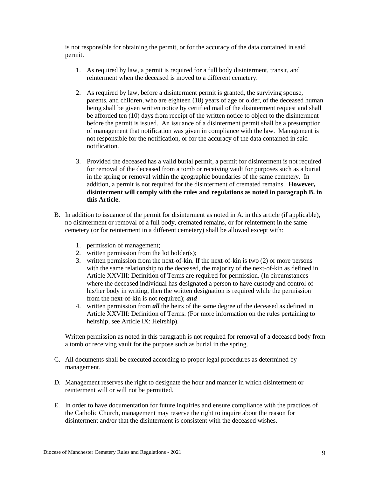is not responsible for obtaining the permit, or for the accuracy of the data contained in said permit.

- 1. As required by law, a permit is required for a full body disinterment, transit, and reinterment when the deceased is moved to a different cemetery.
- 2. As required by law, before a disinterment permit is granted, the surviving spouse, parents, and children, who are eighteen (18) years of age or older, of the deceased human being shall be given written notice by certified mail of the disinterment request and shall be afforded ten (10) days from receipt of the written notice to object to the disinterment before the permit is issued. An issuance of a disinterment permit shall be a presumption of management that notification was given in compliance with the law. Management is not responsible for the notification, or for the accuracy of the data contained in said notification.
- 3. Provided the deceased has a valid burial permit, a permit for disinterment is not required for removal of the deceased from a tomb or receiving vault for purposes such as a burial in the spring or removal within the geographic boundaries of the same cemetery. In addition, a permit is not required for the disinterment of cremated remains. **However, disinterment will comply with the rules and regulations as noted in paragraph B. in this Article.**
- B. In addition to issuance of the permit for disinterment as noted in A. in this article (if applicable), no disinterment or removal of a full body, cremated remains, or for reinterment in the same cemetery (or for reinterment in a different cemetery) shall be allowed except with:
	- 1. permission of management;
	- 2. written permission from the lot holder(s);
	- 3. written permission from the next-of-kin. If the next-of-kin is two (2) or more persons with the same relationship to the deceased, the majority of the next-of-kin as defined in Article XXVIII: Definition of Terms are required for permission. (In circumstances where the deceased individual has designated a person to have custody and control of his/her body in writing, then the written designation is required while the permission from the next-of-kin is not required); *and*
	- 4. written permission from *all* the heirs of the same degree of the deceased as defined in Article XXVIII: Definition of Terms. (For more information on the rules pertaining to heirship, see Article IX: Heirship).

Written permission as noted in this paragraph is not required for removal of a deceased body from a tomb or receiving vault for the purpose such as burial in the spring.

- C. All documents shall be executed according to proper legal procedures as determined by management.
- D. Management reserves the right to designate the hour and manner in which disinterment or reinterment will or will not be permitted.
- E. In order to have documentation for future inquiries and ensure compliance with the practices of the Catholic Church, management may reserve the right to inquire about the reason for disinterment and/or that the disinterment is consistent with the deceased wishes.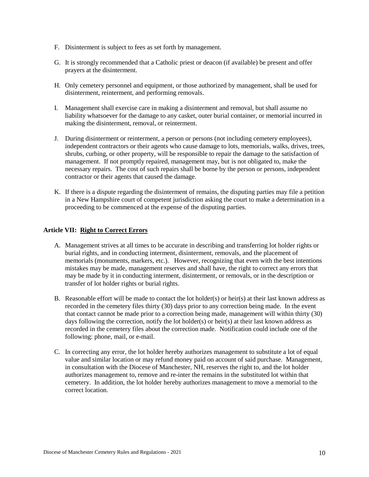- F. Disinterment is subject to fees as set forth by management.
- G. It is strongly recommended that a Catholic priest or deacon (if available) be present and offer prayers at the disinterment.
- H. Only cemetery personnel and equipment, or those authorized by management, shall be used for disinterment, reinterment, and performing removals.
- I. Management shall exercise care in making a disinterment and removal, but shall assume no liability whatsoever for the damage to any casket, outer burial container, or memorial incurred in making the disinterment, removal, or reinterment.
- J. During disinterment or reinterment, a person or persons (not including cemetery employees), independent contractors or their agents who cause damage to lots, memorials, walks, drives, trees, shrubs, curbing, or other property, will be responsible to repair the damage to the satisfaction of management. If not promptly repaired, management may, but is not obligated to, make the necessary repairs. The cost of such repairs shall be borne by the person or persons, independent contractor or their agents that caused the damage.
- K. If there is a dispute regarding the disinterment of remains, the disputing parties may file a petition in a New Hampshire court of competent jurisdiction asking the court to make a determination in a proceeding to be commenced at the expense of the disputing parties.

# **Article VII: Right to Correct Errors**

- A. Management strives at all times to be accurate in describing and transferring lot holder rights or burial rights, and in conducting interment, disinterment, removals, and the placement of memorials (monuments, markers, etc.). However, recognizing that even with the best intentions mistakes may be made, management reserves and shall have, the right to correct any errors that may be made by it in conducting interment, disinterment, or removals, or in the description or transfer of lot holder rights or burial rights.
- B. Reasonable effort will be made to contact the lot holder(s) or heir(s) at their last known address as recorded in the cemetery files thirty (30) days prior to any correction being made. In the event that contact cannot be made prior to a correction being made, management will within thirty (30) days following the correction, notify the lot holder(s) or heir(s) at their last known address as recorded in the cemetery files about the correction made. Notification could include one of the following: phone, mail, or e-mail.
- C. In correcting any error, the lot holder hereby authorizes management to substitute a lot of equal value and similar location or may refund money paid on account of said purchase. Management, in consultation with the Diocese of Manchester, NH, reserves the right to, and the lot holder authorizes management to, remove and re-inter the remains in the substituted lot within that cemetery. In addition, the lot holder hereby authorizes management to move a memorial to the correct location.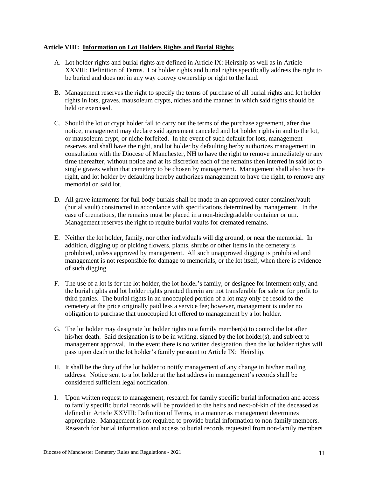# **Article VIII: Information on Lot Holders Rights and Burial Rights**

- A. Lot holder rights and burial rights are defined in Article IX: Heirship as well as in Article XXVIII: Definition of Terms. Lot holder rights and burial rights specifically address the right to be buried and does not in any way convey ownership or right to the land.
- B. Management reserves the right to specify the terms of purchase of all burial rights and lot holder rights in lots, graves, mausoleum crypts, niches and the manner in which said rights should be held or exercised.
- C. Should the lot or crypt holder fail to carry out the terms of the purchase agreement, after due notice, management may declare said agreement canceled and lot holder rights in and to the lot, or mausoleum crypt, or niche forfeited. In the event of such default for lots, management reserves and shall have the right, and lot holder by defaulting herby authorizes management in consultation with the Diocese of Manchester, NH to have the right to remove immediately or any time thereafter, without notice and at its discretion each of the remains then interred in said lot to single graves within that cemetery to be chosen by management. Management shall also have the right, and lot holder by defaulting hereby authorizes management to have the right, to remove any memorial on said lot.
- D. All grave interments for full body burials shall be made in an approved outer container/vault (burial vault) constructed in accordance with specifications determined by management. In the case of cremations, the remains must be placed in a non-biodegradable container or urn. Management reserves the right to require burial vaults for cremated remains.
- E. Neither the lot holder, family, nor other individuals will dig around, or near the memorial. In addition, digging up or picking flowers, plants, shrubs or other items in the cemetery is prohibited, unless approved by management. All such unapproved digging is prohibited and management is not responsible for damage to memorials, or the lot itself, when there is evidence of such digging.
- F. The use of a lot is for the lot holder, the lot holder's family, or designee for interment only, and the burial rights and lot holder rights granted therein are not transferable for sale or for profit to third parties. The burial rights in an unoccupied portion of a lot may only be resold to the cemetery at the price originally paid less a service fee; however, management is under no obligation to purchase that unoccupied lot offered to management by a lot holder.
- G. The lot holder may designate lot holder rights to a family member(s) to control the lot after his/her death. Said designation is to be in writing, signed by the lot holder(s), and subject to management approval. In the event there is no written designation, then the lot holder rights will pass upon death to the lot holder's family pursuant to Article IX: Heirship.
- H. It shall be the duty of the lot holder to notify management of any change in his/her mailing address. Notice sent to a lot holder at the last address in management's records shall be considered sufficient legal notification.
- I. Upon written request to management, research for family specific burial information and access to family specific burial records will be provided to the heirs and next-of-kin of the deceased as defined in Article XXVIII: Definition of Terms, in a manner as management determines appropriate. Management is not required to provide burial information to non-family members. Research for burial information and access to burial records requested from non-family members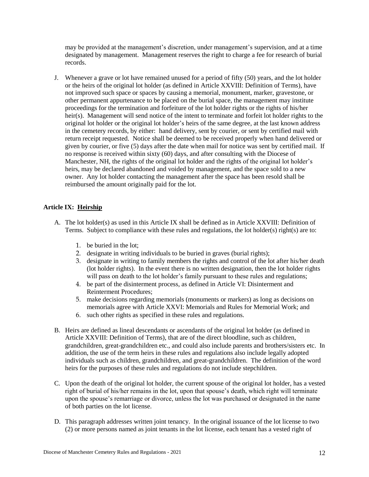may be provided at the management's discretion, under management's supervision, and at a time designated by management. Management reserves the right to charge a fee for research of burial records.

J. Whenever a grave or lot have remained unused for a period of fifty (50) years, and the lot holder or the heirs of the original lot holder (as defined in Article XXVIII: Definition of Terms), have not improved such space or spaces by causing a memorial, monument, marker, gravestone, or other permanent appurtenance to be placed on the burial space, the management may institute proceedings for the termination and forfeiture of the lot holder rights or the rights of his/her heir(s). Management will send notice of the intent to terminate and forfeit lot holder rights to the original lot holder or the original lot holder's heirs of the same degree, at the last known address in the cemetery records, by either: hand delivery, sent by courier, or sent by certified mail with return receipt requested. Notice shall be deemed to be received properly when hand delivered or given by courier, or five (5) days after the date when mail for notice was sent by certified mail. If no response is received within sixty (60) days, and after consulting with the Diocese of Manchester, NH, the rights of the original lot holder and the rights of the original lot holder's heirs, may be declared abandoned and voided by management, and the space sold to a new owner. Any lot holder contacting the management after the space has been resold shall be reimbursed the amount originally paid for the lot.

# **Article IX: Heirship**

- A. The lot holder(s) as used in this Article IX shall be defined as in Article XXVIII: Definition of Terms. Subject to compliance with these rules and regulations, the lot holder(s) right(s) are to:
	- 1. be buried in the lot;
	- 2. designate in writing individuals to be buried in graves (burial rights);
	- 3. designate in writing to family members the rights and control of the lot after his/her death (lot holder rights). In the event there is no written designation, then the lot holder rights will pass on death to the lot holder's family pursuant to these rules and regulations;
	- 4. be part of the disinterment process, as defined in Article VI: Disinterment and Reinterment Procedures;
	- 5. make decisions regarding memorials (monuments or markers) as long as decisions on memorials agree with Article XXVI: Memorials and Rules for Memorial Work; and
	- 6. such other rights as specified in these rules and regulations.
- B. Heirs are defined as lineal descendants or ascendants of the original lot holder (as defined in Article XXVIII: Definition of Terms), that are of the direct bloodline, such as children, grandchildren, great-grandchildren etc., and could also include parents and brothers/sisters etc. In addition, the use of the term heirs in these rules and regulations also include legally adopted individuals such as children, grandchildren, and great-grandchildren. The definition of the word heirs for the purposes of these rules and regulations do not include stepchildren.
- C. Upon the death of the original lot holder, the current spouse of the original lot holder, has a vested right of burial of his/her remains in the lot, upon that spouse's death, which right will terminate upon the spouse's remarriage or divorce, unless the lot was purchased or designated in the name of both parties on the lot license.
- D. This paragraph addresses written joint tenancy. In the original issuance of the lot license to two (2) or more persons named as joint tenants in the lot license, each tenant has a vested right of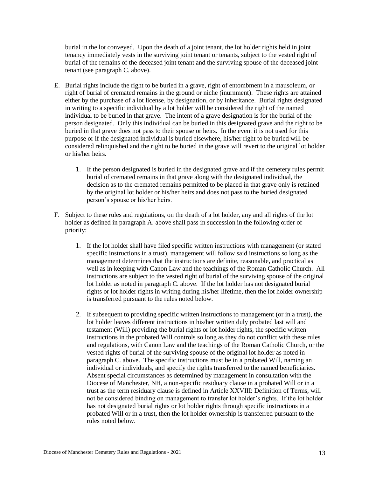burial in the lot conveyed. Upon the death of a joint tenant, the lot holder rights held in joint tenancy immediately vests in the surviving joint tenant or tenants, subject to the vested right of burial of the remains of the deceased joint tenant and the surviving spouse of the deceased joint tenant (see paragraph C. above).

- E. Burial rights include the right to be buried in a grave, right of entombment in a mausoleum, or right of burial of cremated remains in the ground or niche (inurnment). These rights are attained either by the purchase of a lot license, by designation, or by inheritance. Burial rights designated in writing to a specific individual by a lot holder will be considered the right of the named individual to be buried in that grave. The intent of a grave designation is for the burial of the person designated. Only this individual can be buried in this designated grave and the right to be buried in that grave does not pass to their spouse or heirs. In the event it is not used for this purpose or if the designated individual is buried elsewhere, his/her right to be buried will be considered relinquished and the right to be buried in the grave will revert to the original lot holder or his/her heirs.
	- 1. If the person designated is buried in the designated grave and if the cemetery rules permit burial of cremated remains in that grave along with the designated individual, the decision as to the cremated remains permitted to be placed in that grave only is retained by the original lot holder or his/her heirs and does not pass to the buried designated person's spouse or his/her heirs.
- F. Subject to these rules and regulations, on the death of a lot holder, any and all rights of the lot holder as defined in paragraph A. above shall pass in succession in the following order of priority:
	- 1. If the lot holder shall have filed specific written instructions with management (or stated specific instructions in a trust), management will follow said instructions so long as the management determines that the instructions are definite, reasonable, and practical as well as in keeping with Canon Law and the teachings of the Roman Catholic Church. All instructions are subject to the vested right of burial of the surviving spouse of the original lot holder as noted in paragraph C. above. If the lot holder has not designated burial rights or lot holder rights in writing during his/her lifetime, then the lot holder ownership is transferred pursuant to the rules noted below.
	- 2. If subsequent to providing specific written instructions to management (or in a trust), the lot holder leaves different instructions in his/her written duly probated last will and testament (Will) providing the burial rights or lot holder rights, the specific written instructions in the probated Will controls so long as they do not conflict with these rules and regulations, with Canon Law and the teachings of the Roman Catholic Church, or the vested rights of burial of the surviving spouse of the original lot holder as noted in paragraph C. above. The specific instructions must be in a probated Will, naming an individual or individuals, and specify the rights transferred to the named beneficiaries. Absent special circumstances as determined by management in consultation with the Diocese of Manchester, NH, a non-specific residuary clause in a probated Will or in a trust as the term residuary clause is defined in Article XXVIII: Definition of Terms, will not be considered binding on management to transfer lot holder's rights. If the lot holder has not designated burial rights or lot holder rights through specific instructions in a probated Will or in a trust, then the lot holder ownership is transferred pursuant to the rules noted below.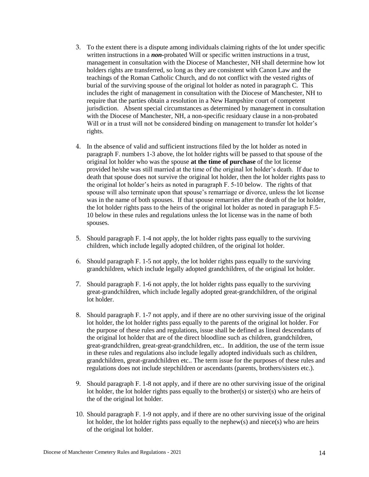- 3. To the extent there is a dispute among individuals claiming rights of the lot under specific written instructions in a *non-*probated Will or specific written instructions in a trust, management in consultation with the Diocese of Manchester, NH shall determine how lot holders rights are transferred, so long as they are consistent with Canon Law and the teachings of the Roman Catholic Church, and do not conflict with the vested rights of burial of the surviving spouse of the original lot holder as noted in paragraph C. This includes the right of management in consultation with the Diocese of Manchester, NH to require that the parties obtain a resolution in a New Hampshire court of competent jurisdiction. Absent special circumstances as determined by management in consultation with the Diocese of Manchester, NH, a non-specific residuary clause in a non-probated Will or in a trust will not be considered binding on management to transfer lot holder's rights.
- 4. In the absence of valid and sufficient instructions filed by the lot holder as noted in paragraph F. numbers 1-3 above, the lot holder rights will be passed to that spouse of the original lot holder who was the spouse **at the time of purchase** of the lot license provided he/she was still married at the time of the original lot holder's death. If due to death that spouse does not survive the original lot holder, then the lot holder rights pass to the original lot holder's heirs as noted in paragraph F. 5-10 below. The rights of that spouse will also terminate upon that spouse's remarriage or divorce, unless the lot license was in the name of both spouses. If that spouse remarries after the death of the lot holder, the lot holder rights pass to the heirs of the original lot holder as noted in paragraph F.5- 10 below in these rules and regulations unless the lot license was in the name of both spouses.
- 5. Should paragraph F. 1-4 not apply, the lot holder rights pass equally to the surviving children, which include legally adopted children, of the original lot holder.
- 6. Should paragraph F. 1-5 not apply, the lot holder rights pass equally to the surviving grandchildren, which include legally adopted grandchildren, of the original lot holder.
- 7. Should paragraph F. 1-6 not apply, the lot holder rights pass equally to the surviving great-grandchildren, which include legally adopted great-grandchildren, of the original lot holder.
- 8. Should paragraph F. 1-7 not apply, and if there are no other surviving issue of the original lot holder, the lot holder rights pass equally to the parents of the original lot holder. For the purpose of these rules and regulations, issue shall be defined as lineal descendants of the original lot holder that are of the direct bloodline such as children, grandchildren, great-grandchildren, great-great-grandchildren, etc.. In addition, the use of the term issue in these rules and regulations also include legally adopted individuals such as children, grandchildren, great-grandchildren etc.. The term issue for the purposes of these rules and regulations does not include stepchildren or ascendants (parents, brothers/sisters etc.).
- 9. Should paragraph F. 1-8 not apply, and if there are no other surviving issue of the original lot holder, the lot holder rights pass equally to the brother(s) or sister(s) who are heirs of the of the original lot holder.
- 10. Should paragraph F. 1-9 not apply, and if there are no other surviving issue of the original lot holder, the lot holder rights pass equally to the nephew $(s)$  and niece $(s)$  who are heirs of the original lot holder.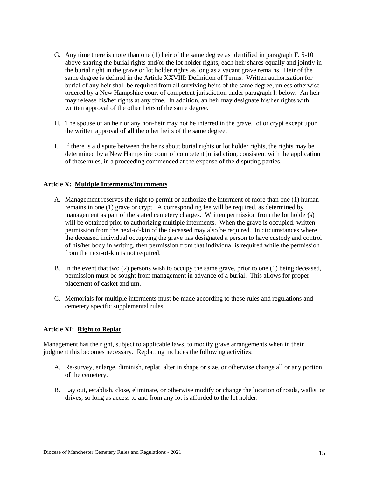- G. Any time there is more than one (1) heir of the same degree as identified in paragraph F. 5-10 above sharing the burial rights and/or the lot holder rights, each heir shares equally and jointly in the burial right in the grave or lot holder rights as long as a vacant grave remains. Heir of the same degree is defined in the Article XXVIII: Definition of Terms. Written authorization for burial of any heir shall be required from all surviving heirs of the same degree, unless otherwise ordered by a New Hampshire court of competent jurisdiction under paragraph I. below. An heir may release his/her rights at any time. In addition, an heir may designate his/her rights with written approval of the other heirs of the same degree.
- H. The spouse of an heir or any non-heir may not be interred in the grave, lot or crypt except upon the written approval of **all** the other heirs of the same degree.
- I. If there is a dispute between the heirs about burial rights or lot holder rights, the rights may be determined by a New Hampshire court of competent jurisdiction, consistent with the application of these rules, in a proceeding commenced at the expense of the disputing parties.

# **Article X: Multiple Interments/Inurnments**

- A. Management reserves the right to permit or authorize the interment of more than one (1) human remains in one (1) grave or crypt. A corresponding fee will be required, as determined by management as part of the stated cemetery charges. Written permission from the lot holder(s) will be obtained prior to authorizing multiple interments. When the grave is occupied, written permission from the next-of-kin of the deceased may also be required. In circumstances where the deceased individual occupying the grave has designated a person to have custody and control of his/her body in writing, then permission from that individual is required while the permission from the next-of-kin is not required.
- B. In the event that two (2) persons wish to occupy the same grave, prior to one (1) being deceased, permission must be sought from management in advance of a burial. This allows for proper placement of casket and urn.
- C. Memorials for multiple interments must be made according to these rules and regulations and cemetery specific supplemental rules.

#### **Article XI: Right to Replat**

Management has the right, subject to applicable laws, to modify grave arrangements when in their judgment this becomes necessary. Replatting includes the following activities:

- A. Re-survey, enlarge, diminish, replat, alter in shape or size, or otherwise change all or any portion of the cemetery.
- B. Lay out, establish, close, eliminate, or otherwise modify or change the location of roads, walks, or drives, so long as access to and from any lot is afforded to the lot holder.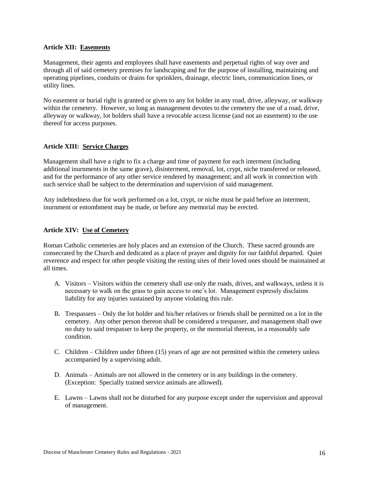# **Article XII: Easements**

Management, their agents and employees shall have easements and perpetual rights of way over and through all of said cemetery premises for landscaping and for the purpose of installing, maintaining and operating pipelines, conduits or drains for sprinklers, drainage, electric lines, communication lines, or utility lines.

No easement or burial right is granted or given to any lot holder in any road, drive, alleyway, or walkway within the cemetery. However, so long as management devotes to the cemetery the use of a road, drive, alleyway or walkway, lot holders shall have a revocable access license (and not an easement) to the use thereof for access purposes.

# **Article XIII: Service Charges**

Management shall have a right to fix a charge and time of payment for each interment (including additional inurnments in the same grave), disinterment, removal, lot, crypt, niche transferred or released, and for the performance of any other service rendered by management; and all work in connection with such service shall be subject to the determination and supervision of said management.

Any indebtedness due for work performed on a lot, crypt, or niche must be paid before an interment, inurnment or entombment may be made, or before any memorial may be erected.

# **Article XIV: Use of Cemetery**

Roman Catholic cemeteries are holy places and an extension of the Church. These sacred grounds are consecrated by the Church and dedicated as a place of prayer and dignity for our faithful departed. Quiet reverence and respect for other people visiting the resting sites of their loved ones should be maintained at all times.

- A. Visitors Visitors within the cemetery shall use only the roads, drives, and walkways, unless it is necessary to walk on the grass to gain access to one's lot. Management expressly disclaims liability for any injuries sustained by anyone violating this rule.
- B. Trespassers Only the lot holder and his/her relatives or friends shall be permitted on a lot in the cemetery. Any other person thereon shall be considered a trespasser, and management shall owe no duty to said trespasser to keep the property, or the memorial thereon, in a reasonably safe condition.
- C. Children Children under fifteen (15) years of age are not permitted within the cemetery unless accompanied by a supervising adult.
- D. Animals Animals are not allowed in the cemetery or in any buildings in the cemetery. (Exception: Specially trained service animals are allowed).
- E. Lawns Lawns shall not be disturbed for any purpose except under the supervision and approval of management.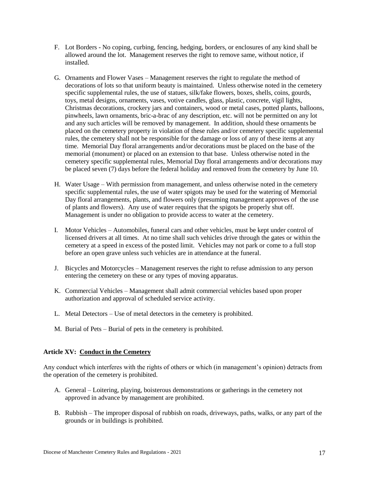- F. Lot Borders No coping, curbing, fencing, hedging, borders, or enclosures of any kind shall be allowed around the lot. Management reserves the right to remove same, without notice, if installed.
- G. Ornaments and Flower Vases Management reserves the right to regulate the method of decorations of lots so that uniform beauty is maintained. Unless otherwise noted in the cemetery specific supplemental rules, the use of statues, silk/fake flowers, boxes, shells, coins, gourds, toys, metal designs, ornaments, vases, votive candles, glass, plastic, concrete, vigil lights, Christmas decorations, crockery jars and containers, wood or metal cases, potted plants, balloons, pinwheels, lawn ornaments, bric-a-brac of any description, etc. will not be permitted on any lot and any such articles will be removed by management. In addition, should these ornaments be placed on the cemetery property in violation of these rules and/or cemetery specific supplemental rules, the cemetery shall not be responsible for the damage or loss of any of these items at any time. Memorial Day floral arrangements and/or decorations must be placed on the base of the memorial (monument) or placed on an extension to that base. Unless otherwise noted in the cemetery specific supplemental rules, Memorial Day floral arrangements and/or decorations may be placed seven (7) days before the federal holiday and removed from the cemetery by June 10.
- H. Water Usage With permission from management, and unless otherwise noted in the cemetery specific supplemental rules, the use of water spigots may be used for the watering of Memorial Day floral arrangements, plants, and flowers only (presuming management approves of the use of plants and flowers). Any use of water requires that the spigots be properly shut off. Management is under no obligation to provide access to water at the cemetery.
- I. Motor Vehicles Automobiles, funeral cars and other vehicles, must be kept under control of licensed drivers at all times. At no time shall such vehicles drive through the gates or within the cemetery at a speed in excess of the posted limit. Vehicles may not park or come to a full stop before an open grave unless such vehicles are in attendance at the funeral.
- J. Bicycles and Motorcycles Management reserves the right to refuse admission to any person entering the cemetery on these or any types of moving apparatus.
- K. Commercial Vehicles Management shall admit commercial vehicles based upon proper authorization and approval of scheduled service activity.
- L. Metal Detectors Use of metal detectors in the cemetery is prohibited.
- M. Burial of Pets Burial of pets in the cemetery is prohibited.

# **Article XV: Conduct in the Cemetery**

Any conduct which interferes with the rights of others or which (in management's opinion) detracts from the operation of the cemetery is prohibited.

- A. General Loitering, playing, boisterous demonstrations or gatherings in the cemetery not approved in advance by management are prohibited.
- B. Rubbish The improper disposal of rubbish on roads, driveways, paths, walks, or any part of the grounds or in buildings is prohibited.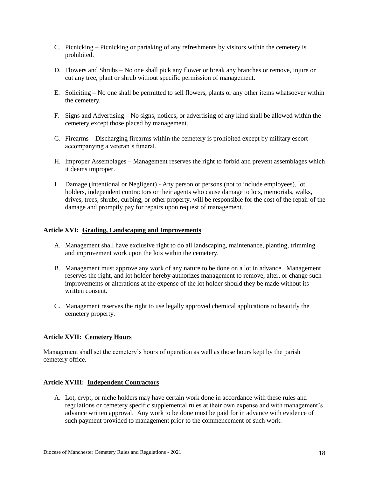- C. Picnicking Picnicking or partaking of any refreshments by visitors within the cemetery is prohibited.
- D. Flowers and Shrubs No one shall pick any flower or break any branches or remove, injure or cut any tree, plant or shrub without specific permission of management.
- E. Soliciting No one shall be permitted to sell flowers, plants or any other items whatsoever within the cemetery.
- F. Signs and Advertising No signs, notices, or advertising of any kind shall be allowed within the cemetery except those placed by management.
- G. Firearms Discharging firearms within the cemetery is prohibited except by military escort accompanying a veteran's funeral.
- H. Improper Assemblages Management reserves the right to forbid and prevent assemblages which it deems improper.
- I. Damage (Intentional or Negligent) Any person or persons (not to include employees), lot holders, independent contractors or their agents who cause damage to lots, memorials, walks, drives, trees, shrubs, curbing, or other property, will be responsible for the cost of the repair of the damage and promptly pay for repairs upon request of management.

# **Article XVI: Grading, Landscaping and Improvements**

- A. Management shall have exclusive right to do all landscaping, maintenance, planting, trimming and improvement work upon the lots within the cemetery.
- B. Management must approve any work of any nature to be done on a lot in advance. Management reserves the right, and lot holder hereby authorizes management to remove, alter, or change such improvements or alterations at the expense of the lot holder should they be made without its written consent.
- C. Management reserves the right to use legally approved chemical applications to beautify the cemetery property.

# **Article XVII: Cemetery Hours**

Management shall set the cemetery's hours of operation as well as those hours kept by the parish cemetery office.

# **Article XVIII: Independent Contractors**

A. Lot, crypt, or niche holders may have certain work done in accordance with these rules and regulations or cemetery specific supplemental rules at their own expense and with management's advance written approval. Any work to be done must be paid for in advance with evidence of such payment provided to management prior to the commencement of such work.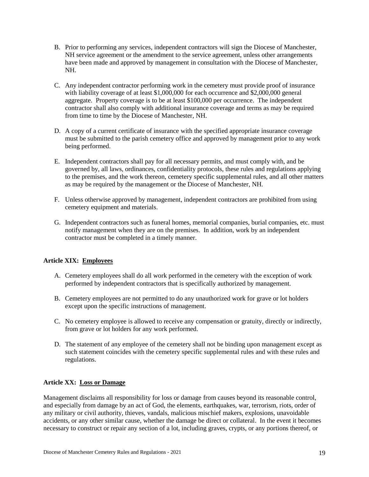- B. Prior to performing any services, independent contractors will sign the Diocese of Manchester, NH service agreement or the amendment to the service agreement, unless other arrangements have been made and approved by management in consultation with the Diocese of Manchester, NH.
- C. Any independent contractor performing work in the cemetery must provide proof of insurance with liability coverage of at least \$1,000,000 for each occurrence and \$2,000,000 general aggregate. Property coverage is to be at least \$100,000 per occurrence. The independent contractor shall also comply with additional insurance coverage and terms as may be required from time to time by the Diocese of Manchester, NH.
- D. A copy of a current certificate of insurance with the specified appropriate insurance coverage must be submitted to the parish cemetery office and approved by management prior to any work being performed.
- E. Independent contractors shall pay for all necessary permits, and must comply with, and be governed by, all laws, ordinances, confidentiality protocols, these rules and regulations applying to the premises, and the work thereon, cemetery specific supplemental rules, and all other matters as may be required by the management or the Diocese of Manchester, NH.
- F. Unless otherwise approved by management, independent contractors are prohibited from using cemetery equipment and materials.
- G. Independent contractors such as funeral homes, memorial companies, burial companies, etc. must notify management when they are on the premises. In addition, work by an independent contractor must be completed in a timely manner.

# **Article XIX: Employees**

- A. Cemetery employees shall do all work performed in the cemetery with the exception of work performed by independent contractors that is specifically authorized by management.
- B. Cemetery employees are not permitted to do any unauthorized work for grave or lot holders except upon the specific instructions of management.
- C. No cemetery employee is allowed to receive any compensation or gratuity, directly or indirectly, from grave or lot holders for any work performed.
- D. The statement of any employee of the cemetery shall not be binding upon management except as such statement coincides with the cemetery specific supplemental rules and with these rules and regulations.

# **Article XX: Loss or Damage**

Management disclaims all responsibility for loss or damage from causes beyond its reasonable control, and especially from damage by an act of God, the elements, earthquakes, war, terrorism, riots, order of any military or civil authority, thieves, vandals, malicious mischief makers, explosions, unavoidable accidents, or any other similar cause, whether the damage be direct or collateral. In the event it becomes necessary to construct or repair any section of a lot, including graves, crypts, or any portions thereof, or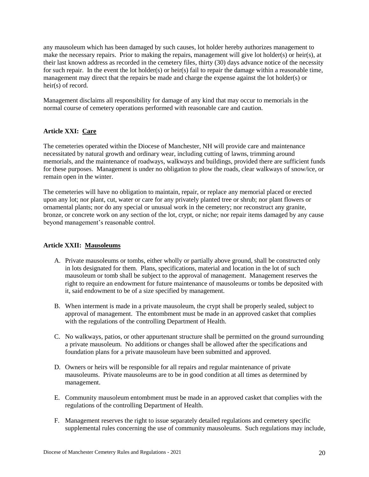any mausoleum which has been damaged by such causes, lot holder hereby authorizes management to make the necessary repairs. Prior to making the repairs, management will give lot holder(s) or heir(s), at their last known address as recorded in the cemetery files, thirty (30) days advance notice of the necessity for such repair. In the event the lot holder(s) or heir(s) fail to repair the damage within a reasonable time, management may direct that the repairs be made and charge the expense against the lot holder(s) or heir(s) of record.

Management disclaims all responsibility for damage of any kind that may occur to memorials in the normal course of cemetery operations performed with reasonable care and caution.

# **Article XXI: Care**

The cemeteries operated within the Diocese of Manchester, NH will provide care and maintenance necessitated by natural growth and ordinary wear, including cutting of lawns, trimming around memorials, and the maintenance of roadways, walkways and buildings, provided there are sufficient funds for these purposes. Management is under no obligation to plow the roads, clear walkways of snow/ice, or remain open in the winter.

The cemeteries will have no obligation to maintain, repair, or replace any memorial placed or erected upon any lot; nor plant, cut, water or care for any privately planted tree or shrub; nor plant flowers or ornamental plants; nor do any special or unusual work in the cemetery; nor reconstruct any granite, bronze, or concrete work on any section of the lot, crypt, or niche; nor repair items damaged by any cause beyond management's reasonable control.

# **Article XXII: Mausoleums**

- A. Private mausoleums or tombs, either wholly or partially above ground, shall be constructed only in lots designated for them. Plans, specifications, material and location in the lot of such mausoleum or tomb shall be subject to the approval of management. Management reserves the right to require an endowment for future maintenance of mausoleums or tombs be deposited with it, said endowment to be of a size specified by management.
- B. When interment is made in a private mausoleum, the crypt shall be properly sealed, subject to approval of management. The entombment must be made in an approved casket that complies with the regulations of the controlling Department of Health.
- C. No walkways, patios, or other appurtenant structure shall be permitted on the ground surrounding a private mausoleum. No additions or changes shall be allowed after the specifications and foundation plans for a private mausoleum have been submitted and approved.
- D. Owners or heirs will be responsible for all repairs and regular maintenance of private mausoleums. Private mausoleums are to be in good condition at all times as determined by management.
- E. Community mausoleum entombment must be made in an approved casket that complies with the regulations of the controlling Department of Health.
- F. Management reserves the right to issue separately detailed regulations and cemetery specific supplemental rules concerning the use of community mausoleums. Such regulations may include,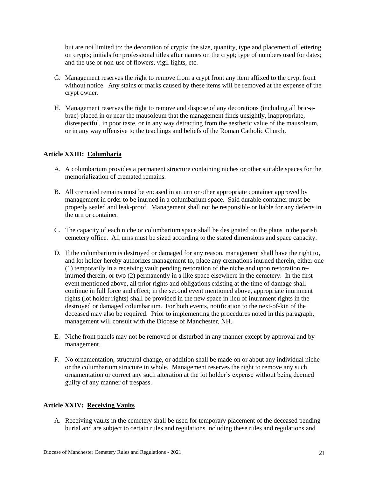but are not limited to: the decoration of crypts; the size, quantity, type and placement of lettering on crypts; initials for professional titles after names on the crypt; type of numbers used for dates; and the use or non-use of flowers, vigil lights, etc.

- G. Management reserves the right to remove from a crypt front any item affixed to the crypt front without notice. Any stains or marks caused by these items will be removed at the expense of the crypt owner.
- H. Management reserves the right to remove and dispose of any decorations (including all bric-abrac) placed in or near the mausoleum that the management finds unsightly, inappropriate, disrespectful, in poor taste, or in any way detracting from the aesthetic value of the mausoleum, or in any way offensive to the teachings and beliefs of the Roman Catholic Church.

# **Article XXIII: Columbaria**

- A. A columbarium provides a permanent structure containing niches or other suitable spaces for the memorialization of cremated remains.
- B. All cremated remains must be encased in an urn or other appropriate container approved by management in order to be inurned in a columbarium space. Said durable container must be properly sealed and leak-proof. Management shall not be responsible or liable for any defects in the urn or container.
- C. The capacity of each niche or columbarium space shall be designated on the plans in the parish cemetery office. All urns must be sized according to the stated dimensions and space capacity.
- D. If the columbarium is destroyed or damaged for any reason, management shall have the right to, and lot holder hereby authorizes management to, place any cremations inurned therein, either one (1) temporarily in a receiving vault pending restoration of the niche and upon restoration reinurned therein, or two (2) permanently in a like space elsewhere in the cemetery. In the first event mentioned above, all prior rights and obligations existing at the time of damage shall continue in full force and effect; in the second event mentioned above, appropriate inurnment rights (lot holder rights) shall be provided in the new space in lieu of inurnment rights in the destroyed or damaged columbarium. For both events, notification to the next-of-kin of the deceased may also be required. Prior to implementing the procedures noted in this paragraph, management will consult with the Diocese of Manchester, NH.
- E. Niche front panels may not be removed or disturbed in any manner except by approval and by management.
- F. No ornamentation, structural change, or addition shall be made on or about any individual niche or the columbarium structure in whole. Management reserves the right to remove any such ornamentation or correct any such alteration at the lot holder's expense without being deemed guilty of any manner of trespass.

# **Article XXIV: Receiving Vaults**

A. Receiving vaults in the cemetery shall be used for temporary placement of the deceased pending burial and are subject to certain rules and regulations including these rules and regulations and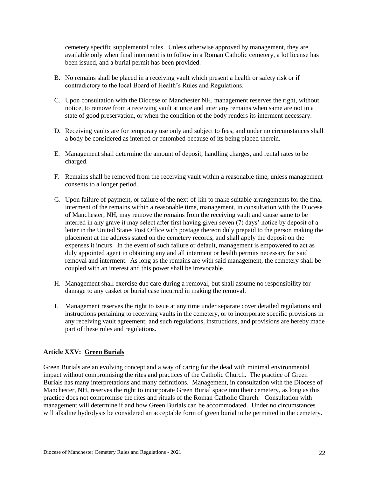cemetery specific supplemental rules. Unless otherwise approved by management, they are available only when final interment is to follow in a Roman Catholic cemetery, a lot license has been issued, and a burial permit has been provided.

- B. No remains shall be placed in a receiving vault which present a health or safety risk or if contradictory to the local Board of Health's Rules and Regulations.
- C. Upon consultation with the Diocese of Manchester NH, management reserves the right, without notice, to remove from a receiving vault at once and inter any remains when same are not in a state of good preservation, or when the condition of the body renders its interment necessary.
- D. Receiving vaults are for temporary use only and subject to fees, and under no circumstances shall a body be considered as interred or entombed because of its being placed therein.
- E. Management shall determine the amount of deposit, handling charges, and rental rates to be charged.
- F. Remains shall be removed from the receiving vault within a reasonable time, unless management consents to a longer period.
- G. Upon failure of payment, or failure of the next-of-kin to make suitable arrangements for the final interment of the remains within a reasonable time, management, in consultation with the Diocese of Manchester, NH, may remove the remains from the receiving vault and cause same to be interred in any grave it may select after first having given seven (7) days' notice by deposit of a letter in the United States Post Office with postage thereon duly prepaid to the person making the placement at the address stated on the cemetery records, and shall apply the deposit on the expenses it incurs. In the event of such failure or default, management is empowered to act as duly appointed agent in obtaining any and all interment or health permits necessary for said removal and interment. As long as the remains are with said management, the cemetery shall be coupled with an interest and this power shall be irrevocable.
- H. Management shall exercise due care during a removal, but shall assume no responsibility for damage to any casket or burial case incurred in making the removal.
- I. Management reserves the right to issue at any time under separate cover detailed regulations and instructions pertaining to receiving vaults in the cemetery, or to incorporate specific provisions in any receiving vault agreement; and such regulations, instructions, and provisions are hereby made part of these rules and regulations.

# **Article XXV: Green Burials**

Green Burials are an evolving concept and a way of caring for the dead with minimal environmental impact without compromising the rites and practices of the Catholic Church. The practice of Green Burials has many interpretations and many definitions. Management, in consultation with the Diocese of Manchester, NH, reserves the right to incorporate Green Burial space into their cemetery, as long as this practice does not compromise the rites and rituals of the Roman Catholic Church. Consultation with management will determine if and how Green Burials can be accommodated. Under no circumstances will alkaline hydrolysis be considered an acceptable form of green burial to be permitted in the cemetery.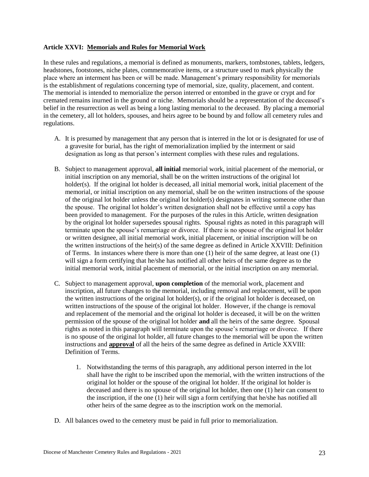# **Article XXVI: Memorials and Rules for Memorial Work**

In these rules and regulations, a memorial is defined as monuments, markers, tombstones, tablets, ledgers, headstones, footstones, niche plates, commemorative items, or a structure used to mark physically the place where an interment has been or will be made. Management's primary responsibility for memorials is the establishment of regulations concerning type of memorial, size, quality, placement, and content. The memorial is intended to memorialize the person interred or entombed in the grave or crypt and for cremated remains inurned in the ground or niche. Memorials should be a representation of the deceased's belief in the resurrection as well as being a long lasting memorial to the deceased. By placing a memorial in the cemetery, all lot holders, spouses, and heirs agree to be bound by and follow all cemetery rules and regulations.

- A. It is presumed by management that any person that is interred in the lot or is designated for use of a gravesite for burial, has the right of memorialization implied by the interment or said designation as long as that person's interment complies with these rules and regulations.
- B. Subject to management approval, **all initial** memorial work, initial placement of the memorial, or initial inscription on any memorial, shall be on the written instructions of the original lot holder(s). If the original lot holder is deceased, all initial memorial work, initial placement of the memorial, or initial inscription on any memorial, shall be on the written instructions of the spouse of the original lot holder unless the original lot holder(s) designates in writing someone other than the spouse. The original lot holder's written designation shall not be effective until a copy has been provided to management. For the purposes of the rules in this Article, written designation by the original lot holder supersedes spousal rights. Spousal rights as noted in this paragraph will terminate upon the spouse's remarriage or divorce. If there is no spouse of the original lot holder or written designee, all initial memorial work, initial placement, or initial inscription will be on the written instructions of the heir(s) of the same degree as defined in Article XXVIII: Definition of Terms. In instances where there is more than one (1) heir of the same degree, at least one (1) will sign a form certifying that he/she has notified all other heirs of the same degree as to the initial memorial work, initial placement of memorial, or the initial inscription on any memorial.
- C. Subject to management approval, **upon completion** of the memorial work, placement and inscription, all future changes to the memorial, including removal and replacement, will be upon the written instructions of the original lot holder(s), or if the original lot holder is deceased, on written instructions of the spouse of the original lot holder. However, if the change is removal and replacement of the memorial and the original lot holder is deceased, it will be on the written permission of the spouse of the original lot holder **and** all the heirs of the same degree. Spousal rights as noted in this paragraph will terminate upon the spouse's remarriage or divorce. If there is no spouse of the original lot holder, all future changes to the memorial will be upon the written instructions and **approval** of all the heirs of the same degree as defined in Article XXVIII: Definition of Terms.
	- 1. Notwithstanding the terms of this paragraph, any additional person interred in the lot shall have the right to be inscribed upon the memorial, with the written instructions of the original lot holder or the spouse of the original lot holder. If the original lot holder is deceased and there is no spouse of the original lot holder, then one (1) heir can consent to the inscription, if the one (1) heir will sign a form certifying that he/she has notified all other heirs of the same degree as to the inscription work on the memorial.
- D. All balances owed to the cemetery must be paid in full prior to memorialization.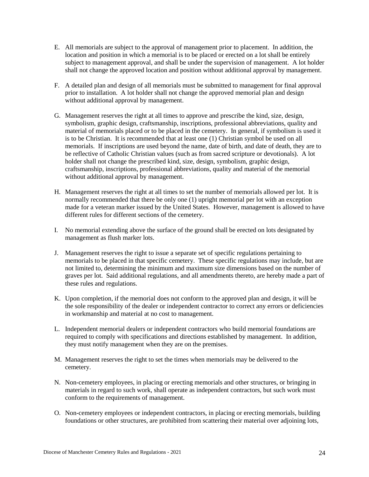- E. All memorials are subject to the approval of management prior to placement. In addition, the location and position in which a memorial is to be placed or erected on a lot shall be entirely subject to management approval, and shall be under the supervision of management. A lot holder shall not change the approved location and position without additional approval by management.
- F. A detailed plan and design of all memorials must be submitted to management for final approval prior to installation. A lot holder shall not change the approved memorial plan and design without additional approval by management.
- G. Management reserves the right at all times to approve and prescribe the kind, size, design, symbolism, graphic design, craftsmanship, inscriptions, professional abbreviations, quality and material of memorials placed or to be placed in the cemetery. In general, if symbolism is used it is to be Christian. It is recommended that at least one (1) Christian symbol be used on all memorials. If inscriptions are used beyond the name, date of birth, and date of death, they are to be reflective of Catholic Christian values (such as from sacred scripture or devotionals). A lot holder shall not change the prescribed kind, size, design, symbolism, graphic design, craftsmanship, inscriptions, professional abbreviations, quality and material of the memorial without additional approval by management.
- H. Management reserves the right at all times to set the number of memorials allowed per lot. It is normally recommended that there be only one (1) upright memorial per lot with an exception made for a veteran marker issued by the United States. However, management is allowed to have different rules for different sections of the cemetery.
- I. No memorial extending above the surface of the ground shall be erected on lots designated by management as flush marker lots.
- J. Management reserves the right to issue a separate set of specific regulations pertaining to memorials to be placed in that specific cemetery. These specific regulations may include, but are not limited to, determining the minimum and maximum size dimensions based on the number of graves per lot. Said additional regulations, and all amendments thereto, are hereby made a part of these rules and regulations.
- K. Upon completion, if the memorial does not conform to the approved plan and design, it will be the sole responsibility of the dealer or independent contractor to correct any errors or deficiencies in workmanship and material at no cost to management.
- L. Independent memorial dealers or independent contractors who build memorial foundations are required to comply with specifications and directions established by management. In addition, they must notify management when they are on the premises.
- M. Management reserves the right to set the times when memorials may be delivered to the cemetery.
- N. Non-cemetery employees, in placing or erecting memorials and other structures, or bringing in materials in regard to such work, shall operate as independent contractors, but such work must conform to the requirements of management.
- O. Non-cemetery employees or independent contractors, in placing or erecting memorials, building foundations or other structures, are prohibited from scattering their material over adjoining lots,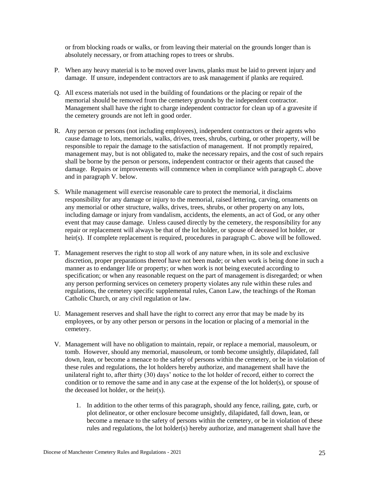or from blocking roads or walks, or from leaving their material on the grounds longer than is absolutely necessary, or from attaching ropes to trees or shrubs.

- P. When any heavy material is to be moved over lawns, planks must be laid to prevent injury and damage. If unsure, independent contractors are to ask management if planks are required.
- Q. All excess materials not used in the building of foundations or the placing or repair of the memorial should be removed from the cemetery grounds by the independent contractor. Management shall have the right to charge independent contractor for clean up of a gravesite if the cemetery grounds are not left in good order.
- R. Any person or persons (not including employees), independent contractors or their agents who cause damage to lots, memorials, walks, drives, trees, shrubs, curbing, or other property, will be responsible to repair the damage to the satisfaction of management. If not promptly repaired, management may, but is not obligated to, make the necessary repairs, and the cost of such repairs shall be borne by the person or persons, independent contractor or their agents that caused the damage. Repairs or improvements will commence when in compliance with paragraph C. above and in paragraph V. below.
- S. While management will exercise reasonable care to protect the memorial, it disclaims responsibility for any damage or injury to the memorial, raised lettering, carving, ornaments on any memorial or other structure, walks, drives, trees, shrubs, or other property on any lots, including damage or injury from vandalism, accidents, the elements, an act of God, or any other event that may cause damage. Unless caused directly by the cemetery, the responsibility for any repair or replacement will always be that of the lot holder, or spouse of deceased lot holder, or heir(s). If complete replacement is required, procedures in paragraph C. above will be followed.
- T. Management reserves the right to stop all work of any nature when, in its sole and exclusive discretion, proper preparations thereof have not been made; or when work is being done in such a manner as to endanger life or property; or when work is not being executed according to specification; or when any reasonable request on the part of management is disregarded; or when any person performing services on cemetery property violates any rule within these rules and regulations, the cemetery specific supplemental rules, Canon Law, the teachings of the Roman Catholic Church, or any civil regulation or law.
- U. Management reserves and shall have the right to correct any error that may be made by its employees, or by any other person or persons in the location or placing of a memorial in the cemetery.
- V. Management will have no obligation to maintain, repair, or replace a memorial, mausoleum, or tomb. However, should any memorial, mausoleum, or tomb become unsightly, dilapidated, fall down, lean, or become a menace to the safety of persons within the cemetery, or be in violation of these rules and regulations, the lot holders hereby authorize, and management shall have the unilateral right to, after thirty (30) days' notice to the lot holder of record, either to correct the condition or to remove the same and in any case at the expense of the lot holder(s), or spouse of the deceased lot holder, or the heir(s).
	- 1. In addition to the other terms of this paragraph, should any fence, railing, gate, curb, or plot delineator, or other enclosure become unsightly, dilapidated, fall down, lean, or become a menace to the safety of persons within the cemetery, or be in violation of these rules and regulations, the lot holder(s) hereby authorize, and management shall have the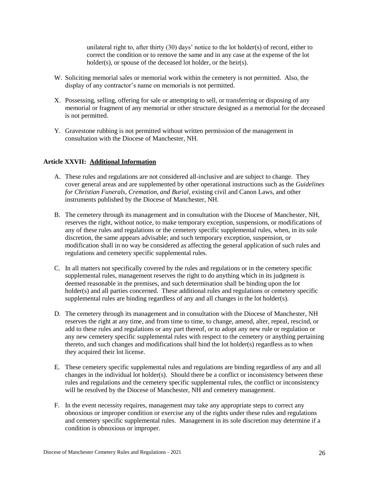unilateral right to, after thirty  $(30)$  days' notice to the lot holder $(s)$  of record, either to correct the condition or to remove the same and in any case at the expense of the lot holder(s), or spouse of the deceased lot holder, or the heir(s).

- W. Soliciting memorial sales or memorial work within the cemetery is not permitted. Also, the display of any contractor's name on memorials is not permitted.
- X. Possessing, selling, offering for sale or attempting to sell, or transferring or disposing of any memorial or fragment of any memorial or other structure designed as a memorial for the deceased is not permitted.
- Y. Gravestone rubbing is not permitted without written permission of the management in consultation with the Diocese of Manchester, NH.

# **Article XXVII: Additional Information**

- A. These rules and regulations are not considered all-inclusive and are subject to change. They cover general areas and are supplemented by other operational instructions such as the *Guidelines for Christian Funerals, Cremation, and Burial,* existing civil and Canon Laws, and other instruments published by the Diocese of Manchester, NH.
- B. The cemetery through its management and in consultation with the Diocese of Manchester, NH, reserves the right, without notice, to make temporary exception, suspensions, or modifications of any of these rules and regulations or the cemetery specific supplemental rules, when, in its sole discretion, the same appears advisable; and such temporary exception, suspension, or modification shall in no way be considered as affecting the general application of such rules and regulations and cemetery specific supplemental rules.
- C. In all matters not specifically covered by the rules and regulations or in the cemetery specific supplemental rules, management reserves the right to do anything which in its judgment is deemed reasonable in the premises, and such determination shall be binding upon the lot holder(s) and all parties concerned. These additional rules and regulations or cemetery specific supplemental rules are binding regardless of any and all changes in the lot holder(s).
- D. The cemetery through its management and in consultation with the Diocese of Manchester, NH reserves the right at any time, and from time to time, to change, amend, alter, repeal, rescind, or add to these rules and regulations or any part thereof, or to adopt any new rule or regulation or any new cemetery specific supplemental rules with respect to the cemetery or anything pertaining thereto, and such changes and modifications shall bind the lot holder(s) regardless as to when they acquired their lot license.
- E. These cemetery specific supplemental rules and regulations are binding regardless of any and all changes in the individual lot holder(s). Should there be a conflict or inconsistency between these rules and regulations and the cemetery specific supplemental rules, the conflict or inconsistency will be resolved by the Diocese of Manchester, NH and cemetery management.
- F. In the event necessity requires, management may take any appropriate steps to correct any obnoxious or improper condition or exercise any of the rights under these rules and regulations and cemetery specific supplemental rules. Management in its sole discretion may determine if a condition is obnoxious or improper.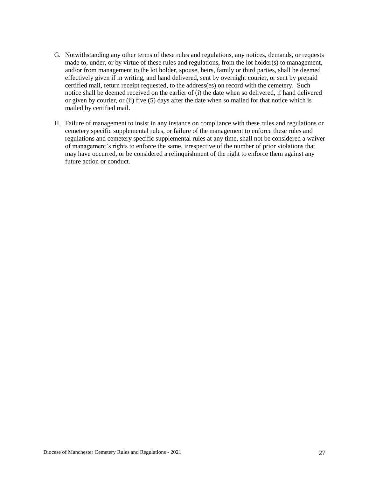- G. Notwithstanding any other terms of these rules and regulations, any notices, demands, or requests made to, under, or by virtue of these rules and regulations, from the lot holder(s) to management, and/or from management to the lot holder, spouse, heirs, family or third parties, shall be deemed effectively given if in writing, and hand delivered, sent by overnight courier, or sent by prepaid certified mail, return receipt requested, to the address(es) on record with the cemetery. Such notice shall be deemed received on the earlier of (i) the date when so delivered, if hand delivered or given by courier, or (ii) five (5) days after the date when so mailed for that notice which is mailed by certified mail.
- H. Failure of management to insist in any instance on compliance with these rules and regulations or cemetery specific supplemental rules, or failure of the management to enforce these rules and regulations and cemetery specific supplemental rules at any time, shall not be considered a waiver of management's rights to enforce the same, irrespective of the number of prior violations that may have occurred, or be considered a relinquishment of the right to enforce them against any future action or conduct.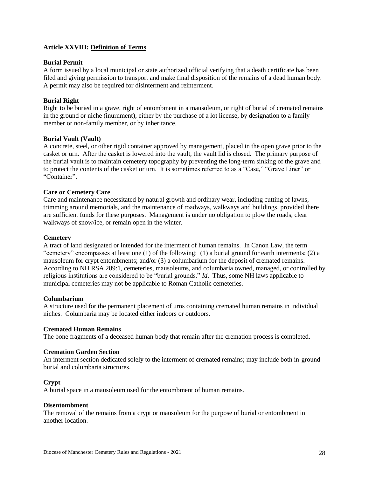# **Article XXVIII: Definition of Terms**

#### **Burial Permit**

A form issued by a local municipal or state authorized official verifying that a death certificate has been filed and giving permission to transport and make final disposition of the remains of a dead human body. A permit may also be required for disinterment and reinterment.

# **Burial Right**

Right to be buried in a grave, right of entombment in a mausoleum, or right of burial of cremated remains in the ground or niche (inurnment), either by the purchase of a lot license, by designation to a family member or non-family member, or by inheritance.

# **Burial Vault (Vault)**

A concrete, steel, or other rigid container approved by management, placed in the open grave prior to the casket or urn. After the casket is lowered into the vault, the vault lid is closed. The primary purpose of the burial vault is to maintain cemetery topography by preventing the long-term sinking of the grave and to protect the contents of the casket or urn. It is sometimes referred to as a "Case," "Grave Liner" or "Container".

# **Care or Cemetery Care**

Care and maintenance necessitated by natural growth and ordinary wear, including cutting of lawns, trimming around memorials, and the maintenance of roadways, walkways and buildings, provided there are sufficient funds for these purposes. Management is under no obligation to plow the roads, clear walkways of snow/ice, or remain open in the winter.

#### **Cemetery**

A tract of land designated or intended for the interment of human remains. In Canon Law, the term "cemetery" encompasses at least one (1) of the following: (1) a burial ground for earth interments; (2) a mausoleum for crypt entombments; and/or (3) a columbarium for the deposit of cremated remains. According to NH RSA 289:1, cemeteries, mausoleums, and columbaria owned, managed, or controlled by religious institutions are considered to be "burial grounds." *Id*. Thus, some NH laws applicable to municipal cemeteries may not be applicable to Roman Catholic cemeteries.

#### **Columbarium**

A structure used for the permanent placement of urns containing cremated human remains in individual niches. Columbaria may be located either indoors or outdoors.

#### **Cremated Human Remains**

The bone fragments of a deceased human body that remain after the cremation process is completed.

#### **Cremation Garden Section**

An interment section dedicated solely to the interment of cremated remains; may include both in-ground burial and columbaria structures.

# **Crypt**

A burial space in a mausoleum used for the entombment of human remains.

#### **Disentombment**

The removal of the remains from a crypt or mausoleum for the purpose of burial or entombment in another location.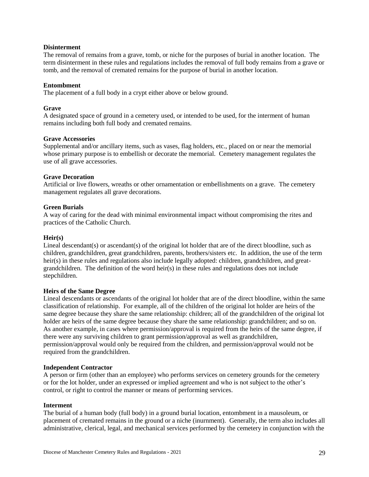# **Disinterment**

The removal of remains from a grave, tomb, or niche for the purposes of burial in another location. The term disinterment in these rules and regulations includes the removal of full body remains from a grave or tomb, and the removal of cremated remains for the purpose of burial in another location.

# **Entombment**

The placement of a full body in a crypt either above or below ground.

# **Grave**

A designated space of ground in a cemetery used, or intended to be used, for the interment of human remains including both full body and cremated remains.

# **Grave Accessories**

Supplemental and/or ancillary items, such as vases, flag holders, etc., placed on or near the memorial whose primary purpose is to embellish or decorate the memorial. Cemetery management regulates the use of all grave accessories.

# **Grave Decoration**

Artificial or live flowers, wreaths or other ornamentation or embellishments on a grave. The cemetery management regulates all grave decorations.

# **Green Burials**

A way of caring for the dead with minimal environmental impact without compromising the rites and practices of the Catholic Church.

#### **Heir(s)**

Lineal descendant(s) or ascendant(s) of the original lot holder that are of the direct bloodline, such as children, grandchildren, great grandchildren, parents, brothers/sisters etc. In addition, the use of the term heir(s) in these rules and regulations also include legally adopted: children, grandchildren, and greatgrandchildren. The definition of the word heir(s) in these rules and regulations does not include stepchildren.

#### **Heirs of the Same Degree**

Lineal descendants or ascendants of the original lot holder that are of the direct bloodline, within the same classification of relationship. For example, all of the children of the original lot holder are heirs of the same degree because they share the same relationship: children; all of the grandchildren of the original lot holder are heirs of the same degree because they share the same relationship: grandchildren; and so on. As another example, in cases where permission/approval is required from the heirs of the same degree, if there were any surviving children to grant permission/approval as well as grandchildren, permission/approval would only be required from the children, and permission/approval would not be required from the grandchildren.

#### **Independent Contractor**

A person or firm (other than an employee) who performs services on cemetery grounds for the cemetery or for the lot holder, under an expressed or implied agreement and who is not subject to the other's control, or right to control the manner or means of performing services.

#### **Interment**

The burial of a human body (full body) in a ground burial location, entombment in a mausoleum, or placement of cremated remains in the ground or a niche (inurnment). Generally, the term also includes all administrative, clerical, legal, and mechanical services performed by the cemetery in conjunction with the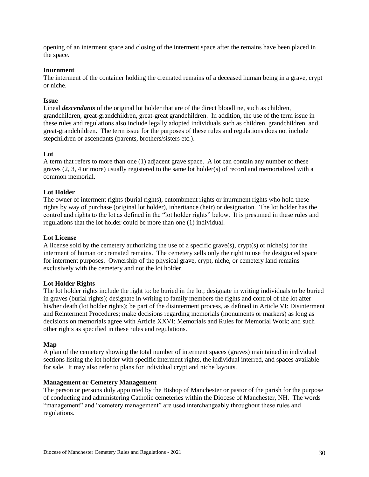opening of an interment space and closing of the interment space after the remains have been placed in the space.

#### **Inurnment**

The interment of the container holding the cremated remains of a deceased human being in a grave, crypt or niche.

#### **Issue**

Lineal *descendants* of the original lot holder that are of the direct bloodline, such as children, grandchildren, great-grandchildren, great-great grandchildren. In addition, the use of the term issue in these rules and regulations also include legally adopted individuals such as children, grandchildren, and great-grandchildren. The term issue for the purposes of these rules and regulations does not include stepchildren or ascendants (parents, brothers/sisters etc.).

#### **Lot**

A term that refers to more than one (1) adjacent grave space. A lot can contain any number of these graves (2, 3, 4 or more) usually registered to the same lot holder(s) of record and memorialized with a common memorial.

# **Lot Holder**

The owner of interment rights (burial rights), entombment rights or inurnment rights who hold these rights by way of purchase (original lot holder), inheritance (heir) or designation. The lot holder has the control and rights to the lot as defined in the "lot holder rights" below. It is presumed in these rules and regulations that the lot holder could be more than one (1) individual.

#### **Lot License**

A license sold by the cemetery authorizing the use of a specific grave(s), crypt(s) or niche(s) for the interment of human or cremated remains. The cemetery sells only the right to use the designated space for interment purposes. Ownership of the physical grave, crypt, niche, or cemetery land remains exclusively with the cemetery and not the lot holder.

#### **Lot Holder Rights**

The lot holder rights include the right to: be buried in the lot; designate in writing individuals to be buried in graves (burial rights); designate in writing to family members the rights and control of the lot after his/her death (lot holder rights); be part of the disinterment process, as defined in Article VI: Disinterment and Reinterment Procedures; make decisions regarding memorials (monuments or markers) as long as decisions on memorials agree with Article XXVI: Memorials and Rules for Memorial Work; and such other rights as specified in these rules and regulations.

#### **Map**

A plan of the cemetery showing the total number of interment spaces (graves) maintained in individual sections listing the lot holder with specific interment rights, the individual interred, and spaces available for sale. It may also refer to plans for individual crypt and niche layouts.

#### **Management or Cemetery Management**

The person or persons duly appointed by the Bishop of Manchester or pastor of the parish for the purpose of conducting and administering Catholic cemeteries within the Diocese of Manchester, NH. The words "management" and "cemetery management" are used interchangeably throughout these rules and regulations.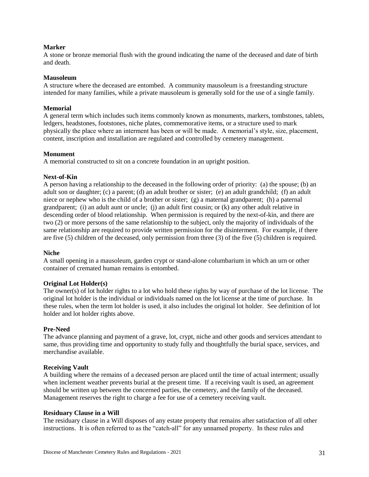# **Marker**

A stone or bronze memorial flush with the ground indicating the name of the deceased and date of birth and death.

#### **Mausoleum**

A structure where the deceased are entombed. A community mausoleum is a freestanding structure intended for many families, while a private mausoleum is generally sold for the use of a single family.

#### **Memorial**

A general term which includes such items commonly known as monuments, markers, tombstones, tablets, ledgers, headstones, footstones, niche plates, commemorative items, or a structure used to mark physically the place where an interment has been or will be made. A memorial's style, size, placement, content, inscription and installation are regulated and controlled by cemetery management.

#### **Monument**

A memorial constructed to sit on a concrete foundation in an upright position.

#### **Next-of-Kin**

A person having a relationship to the deceased in the following order of priority: (a) the spouse; (b) an adult son or daughter; (c) a parent; (d) an adult brother or sister; (e) an adult grandchild; (f) an adult niece or nephew who is the child of a brother or sister; (g) a maternal grandparent; (h) a paternal grandparent; (i) an adult aunt or uncle; (j) an adult first cousin; or (k) any other adult relative in descending order of blood relationship. When permission is required by the next-of-kin, and there are two (2) or more persons of the same relationship to the subject, only the majority of individuals of the same relationship are required to provide written permission for the disinterment. For example, if there are five (5) children of the deceased, only permission from three (3) of the five (5) children is required.

#### **Niche**

A small opening in a mausoleum, garden crypt or stand-alone columbarium in which an urn or other container of cremated human remains is entombed.

#### **Original Lot Holder(s)**

The owner(s) of lot holder rights to a lot who hold these rights by way of purchase of the lot license. The original lot holder is the individual or individuals named on the lot license at the time of purchase. In these rules, when the term lot holder is used, it also includes the original lot holder. See definition of lot holder and lot holder rights above.

#### **Pre-Need**

The advance planning and payment of a grave, lot, crypt, niche and other goods and services attendant to same, thus providing time and opportunity to study fully and thoughtfully the burial space, services, and merchandise available.

#### **Receiving Vault**

A building where the remains of a deceased person are placed until the time of actual interment; usually when inclement weather prevents burial at the present time. If a receiving vault is used, an agreement should be written up between the concerned parties, the cemetery, and the family of the deceased. Management reserves the right to charge a fee for use of a cemetery receiving vault.

#### **Residuary Clause in a Will**

The residuary clause in a Will disposes of any estate property that remains after satisfaction of all other instructions. It is often referred to as the "catch-all" for any unnamed property. In these rules and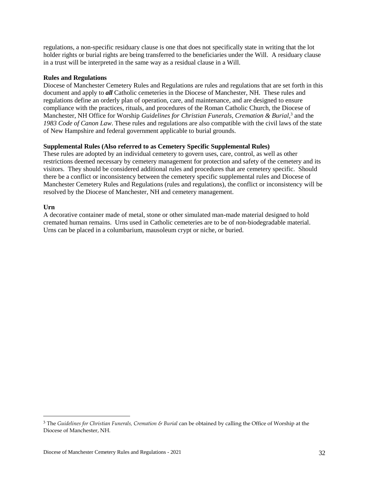regulations, a non-specific residuary clause is one that does not specifically state in writing that the lot holder rights or burial rights are being transferred to the beneficiaries under the Will. A residuary clause in a trust will be interpreted in the same way as a residual clause in a Will.

# **Rules and Regulations**

Diocese of Manchester Cemetery Rules and Regulations are rules and regulations that are set forth in this document and apply to *all* Catholic cemeteries in the Diocese of Manchester, NH. These rules and regulations define an orderly plan of operation, care, and maintenance, and are designed to ensure compliance with the practices, rituals, and procedures of the Roman Catholic Church, the Diocese of Manchester, NH Office for Worship *Guidelines for Christian Funerals, Cremation & Burial*, 3 and the *1983 Code of Canon Law*. These rules and regulations are also compatible with the civil laws of the state of New Hampshire and federal government applicable to burial grounds.

# **Supplemental Rules (Also referred to as Cemetery Specific Supplemental Rules)**

These rules are adopted by an individual cemetery to govern uses, care, control, as well as other restrictions deemed necessary by cemetery management for protection and safety of the cemetery and its visitors. They should be considered additional rules and procedures that are cemetery specific. Should there be a conflict or inconsistency between the cemetery specific supplemental rules and Diocese of Manchester Cemetery Rules and Regulations (rules and regulations), the conflict or inconsistency will be resolved by the Diocese of Manchester, NH and cemetery management.

# **Urn**

 $\overline{a}$ 

A decorative container made of metal, stone or other simulated man-made material designed to hold cremated human remains. Urns used in Catholic cemeteries are to be of non-biodegradable material. Urns can be placed in a columbarium, mausoleum crypt or niche, or buried.

<sup>3</sup> The *Guidelines for Christian Funerals, Cremation & Burial* can be obtained by calling the Office of Worship at the Diocese of Manchester, NH.